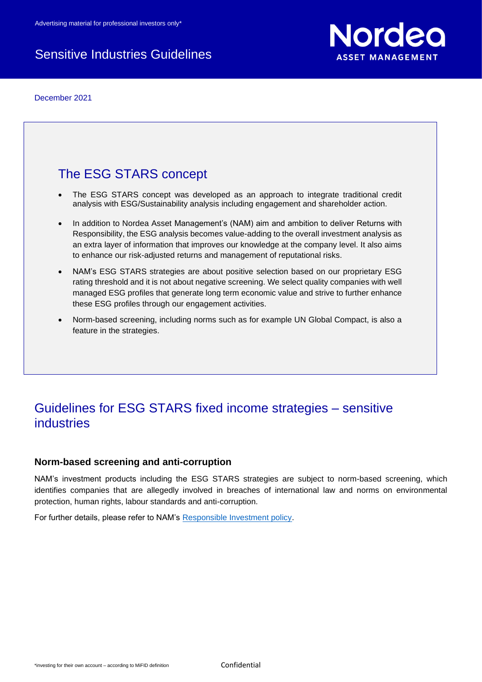# Sensitive Industries Guidelines

December 2021



# The ESG STARS concept

- The ESG STARS concept was developed as an approach to integrate traditional credit analysis with ESG/Sustainability analysis including engagement and shareholder action.
- In addition to Nordea Asset Management's (NAM) aim and ambition to deliver Returns with Responsibility, the ESG analysis becomes value-adding to the overall investment analysis as an extra layer of information that improves our knowledge at the company level. It also aims to enhance our risk-adjusted returns and management of reputational risks.
- NAM's ESG STARS strategies are about positive selection based on our proprietary ESG rating threshold and it is not about negative screening. We select quality companies with well managed ESG profiles that generate long term economic value and strive to further enhance these ESG profiles through our engagement activities.
- Norm-based screening, including norms such as for example UN Global Compact, is also a feature in the strategies.

# Guidelines for ESG STARS fixed income strategies – sensitive industries

# **Norm-based screening and anti-corruption**

NAM's investment products including the ESG STARS strategies are subject to norm-based screening, which identifies companies that are allegedly involved in breaches of international law and norms on environmental protection, human rights, labour standards and anti-corruption.

For further details, please refer to NAM's [Responsible Investment policy.](https://www.nordea.lu/documents/esg--ri-policy/ESG-RI-PL_eng_INT.pdf/)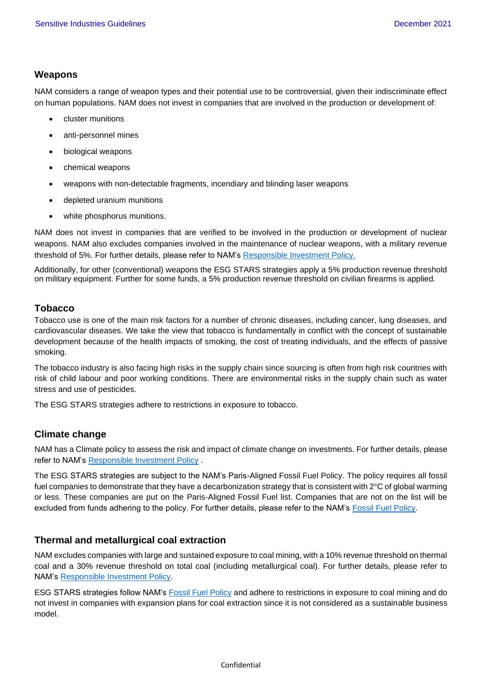## **Weapons**

NAM considers a range of weapon types and their potential use to be controversial, given their indiscriminate effect on human populations. NAM does not invest in companies that are involved in the production or development of:

- cluster munitions
- anti-personnel mines
- biological weapons
- chemical weapons
- weapons with non-detectable fragments, incendiary and blinding laser weapons
- depleted uranium munitions
- white phosphorus munitions.

NAM does not invest in companies that are verified to be involved in the production or development of nuclear weapons. NAM also excludes companies involved in the maintenance of nuclear weapons, with a military revenue threshold of 5%. For further details, please refer to NAM's [Responsible Investment Policy.](https://www.nordea.lu/documents/esg--ri-policy/ESG-RI-PL_eng_INT.pdf/)

Additionally, for other (conventional) weapons the ESG STARS strategies apply a 5% production revenue threshold on military equipment. Further for some funds, a 5% production revenue threshold on civilian firearms is applied.

### **Tobacco**

Tobacco use is one of the main risk factors for a number of chronic diseases, including cancer, lung diseases, and cardiovascular diseases. We take the view that tobacco is fundamentally in conflict with the concept of sustainable development because of the health impacts of smoking, the cost of treating individuals, and the effects of passive smoking.

The tobacco industry is also facing high risks in the supply chain since sourcing is often from high risk countries with risk of child labour and poor working conditions. There are environmental risks in the supply chain such as water stress and use of pesticides.

The ESG STARS strategies adhere to restrictions in exposure to tobacco.

# **Climate change**

NAM has a Climate policy to assess the risk and impact of climate change on investments. For further details, please refer to NAM's [Responsible Investment Policy](https://www.nordea.lu/documents/esg--ri-policy/ESG-RI-PL_eng_INT.pdf/) .

The ESG STARS strategies are subject to the NAM's Paris-Aligned Fossil Fuel Policy. The policy requires all fossil fuel companies to demonstrate that they have a decarbonization strategy that is consistent with 2°C of global warming or less. These companies are put on the Paris-Aligned Fossil Fuel list. Companies that are not on the list will be excluded from funds adhering to the policy. For further details, please refer to the NAM's [Fossil Fuel Policy.](https://www.nordea.lu/documents/esg-paris-aligned-fossil-fuel-policy/ESG-PAFF_eng_INT.pdf/)

# **Thermal and metallurgical coal extraction**

NAM excludes companies with large and sustained exposure to coal mining, with a 10% revenue threshold on thermal coal and a 30% revenue threshold on total coal (including metallurgical coal). For further details, please refer to NAM's [Responsible Investment Policy.](https://www.nordea.lu/documents/esg--ri-policy/ESG-RI-PL_eng_INT.pdf/)

ESG STARS strategies follow NAM's [Fossil Fuel Policy](https://www.nordea.lu/documents/esg-paris-aligned-fossil-fuel-policy/ESG-PAFF_eng_INT.pdf/) and adhere to restrictions in exposure to coal mining and do not invest in companies with expansion plans for coal extraction since it is not considered as a sustainable business model.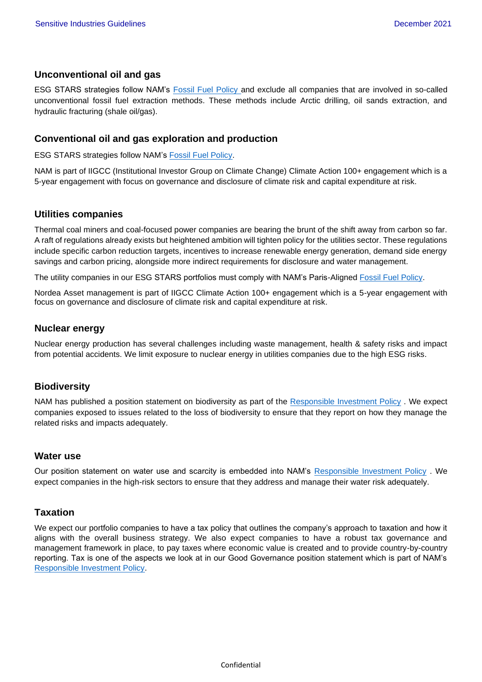### **Unconventional oil and gas**

ESG STARS strategies follow NAM's [Fossil Fuel Policy](https://www.nordea.lu/documents/esg-paris-aligned-fossil-fuel-policy/ESG-PAFF_eng_INT.pdf/) and exclude all companies that are involved in so-called unconventional fossil fuel extraction methods. These methods include Arctic drilling, oil sands extraction, and hydraulic fracturing (shale oil/gas).

### **Conventional oil and gas exploration and production**

ESG STARS strategies follow NAM's [Fossil Fuel Policy.](https://www.nordea.lu/documents/esg-paris-aligned-fossil-fuel-policy/ESG-PAFF_eng_INT.pdf/)

NAM is part of IIGCC (Institutional Investor Group on Climate Change) Climate Action 100+ engagement which is a 5-year engagement with focus on governance and disclosure of climate risk and capital expenditure at risk.

### **Utilities companies**

Thermal coal miners and coal-focused power companies are bearing the brunt of the shift away from carbon so far. A raft of regulations already exists but heightened ambition will tighten policy for the utilities sector. These regulations include specific carbon reduction targets, incentives to increase renewable energy generation, demand side energy savings and carbon pricing, alongside more indirect requirements for disclosure and water management.

The utility companies in our ESG STARS portfolios must comply with NAM's Paris-Aligned [Fossil Fuel Policy.](https://www.nordea.lu/documents/esg-paris-aligned-fossil-fuel-policy/ESG-PAFF_eng_INT.pdf/)

Nordea Asset management is part of IIGCC Climate Action 100+ engagement which is a 5-year engagement with focus on governance and disclosure of climate risk and capital expenditure at risk.

#### **Nuclear energy**

Nuclear energy production has several challenges including waste management, health & safety risks and impact from potential accidents. We limit exposure to nuclear energy in utilities companies due to the high ESG risks.

### **Biodiversity**

NAM has published a position statement on biodiversity as part of the [Responsible Investment Policy](https://www.nordea.lu/documents/esg--ri-policy/ESG-RI-PL_eng_INT.pdf/). We expect companies exposed to issues related to the loss of biodiversity to ensure that they report on how they manage the related risks and impacts adequately.

#### **Water use**

Our position statement on water use and scarcity is embedded into NAM's [Responsible Investment Policy](https://www.nordea.lu/documents/esg--ri-policy/ESG-RI-PL_eng_INT.pdf/). We expect companies in the high-risk sectors to ensure that they address and manage their water risk adequately.

### **Taxation**

We expect our portfolio companies to have a tax policy that outlines the company's approach to taxation and how it aligns with the overall business strategy. We also expect companies to have a robust tax governance and management framework in place, to pay taxes where economic value is created and to provide country-by-country reporting. Tax is one of the aspects we look at in our Good Governance position statement which is part of NAM's [Responsible Investment Policy.](https://www.nordea.lu/documents/esg--ri-policy/ESG-RI-PL_eng_INT.pdf/)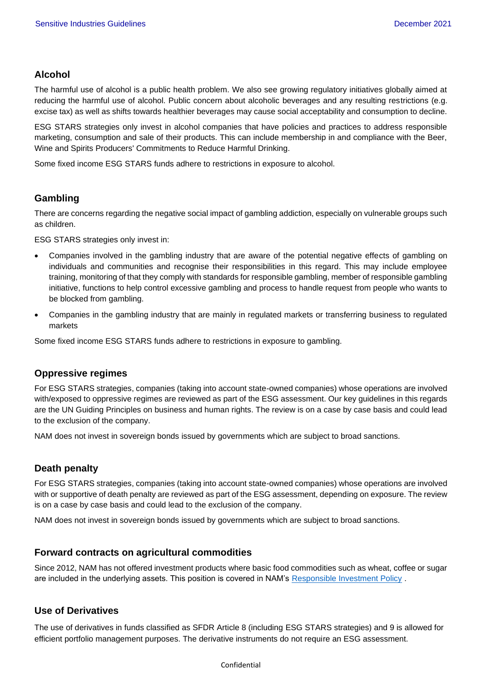# **Alcohol**

The harmful use of alcohol is a public health problem. We also see growing regulatory initiatives globally aimed at reducing the harmful use of alcohol. Public concern about alcoholic beverages and any resulting restrictions (e.g. excise tax) as well as shifts towards healthier beverages may cause social acceptability and consumption to decline.

ESG STARS strategies only invest in alcohol companies that have policies and practices to address responsible marketing, consumption and sale of their products. This can include membership in and compliance with the Beer, Wine and Spirits Producers' Commitments to Reduce Harmful Drinking.

Some fixed income ESG STARS funds adhere to restrictions in exposure to alcohol.

# **Gambling**

There are concerns regarding the negative social impact of gambling addiction, especially on vulnerable groups such as children.

ESG STARS strategies only invest in:

- Companies involved in the gambling industry that are aware of the potential negative effects of gambling on individuals and communities and recognise their responsibilities in this regard. This may include employee training, monitoring of that they comply with standards for responsible gambling, member of responsible gambling initiative, functions to help control excessive gambling and process to handle request from people who wants to be blocked from gambling.
- Companies in the gambling industry that are mainly in regulated markets or transferring business to regulated markets

Some fixed income ESG STARS funds adhere to restrictions in exposure to gambling.

### **Oppressive regimes**

For ESG STARS strategies, companies (taking into account state-owned companies) whose operations are involved with/exposed to oppressive regimes are reviewed as part of the ESG assessment. Our key guidelines in this regards are the UN Guiding Principles on business and human rights. The review is on a case by case basis and could lead to the exclusion of the company.

NAM does not invest in sovereign bonds issued by governments which are subject to broad sanctions.

# **Death penalty**

For ESG STARS strategies, companies (taking into account state-owned companies) whose operations are involved with or supportive of death penalty are reviewed as part of the ESG assessment, depending on exposure. The review is on a case by case basis and could lead to the exclusion of the company.

NAM does not invest in sovereign bonds issued by governments which are subject to broad sanctions.

### **Forward contracts on agricultural commodities**

Since 2012, NAM has not offered investment products where basic food commodities such as wheat, coffee or sugar are included in the underlying assets. This position is covered in NAM's [Responsible Investment Policy](https://www.nordea.lu/documents/esg--ri-policy/ESG-RI-PL_eng_INT.pdf/) .

# **Use of Derivatives**

The use of derivatives in funds classified as SFDR Article 8 (including ESG STARS strategies) and 9 is allowed for efficient portfolio management purposes. The derivative instruments do not require an ESG assessment.